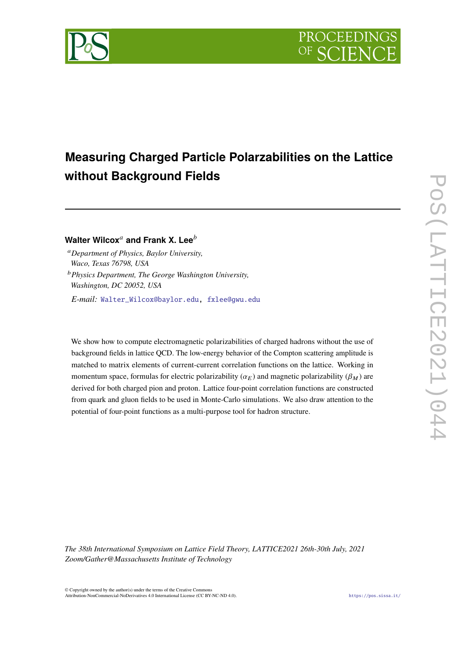

# **Measuring Charged Particle Polarzabilities on the Lattice without Background Fields**

## **Walter Wilcox**<sup>a</sup> and Frank X. Lee<sup>b</sup>

*Department of Physics, Baylor University, Waco, Texas 76798, USA Physics Department, The George Washington University, Washington, DC 20052, USA*

*E-mail:* [Walter\\_Wilcox@baylor.edu,](mailto:Walter_Wilcox@baylor.edu) [fxlee@gwu.edu](mailto:fxlee@gwu.edu)

We show how to compute electromagnetic polarizabilities of charged hadrons without the use of background fields in lattice QCD. The low-energy behavior of the Compton scattering amplitude is matched to matrix elements of current-current correlation functions on the lattice. Working in momentum space, formulas for electric polarizability ( $\alpha_E$ ) and magnetic polarizability ( $\beta_M$ ) are derived for both charged pion and proton. Lattice four-point correlation functions are constructed from quark and gluon fields to be used in Monte-Carlo simulations. We also draw attention to the potential of four-point functions as a multi-purpose tool for hadron structure.

*The 38th International Symposium on Lattice Field Theory, LATTICE2021 26th-30th July, 2021 Zoom/Gather@Massachusetts Institute of Technology*

© Copyright owned by the author(s) under the terms of the Creative Commons Attribution-NonCommercial-NoDerivatives 4.0 International License (CC BY-NC-ND 4.0). <https://pos.sissa.it/>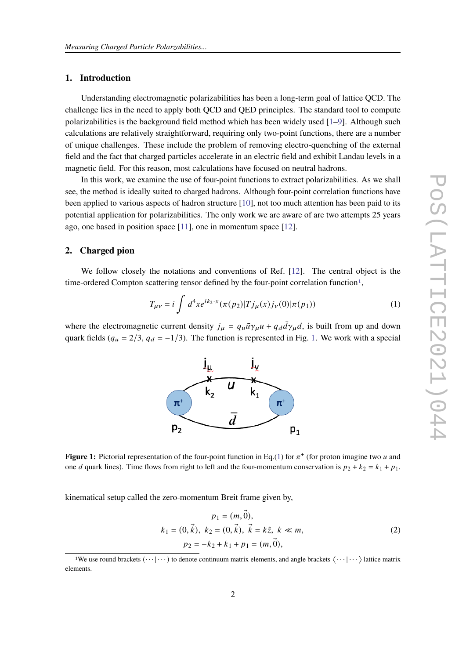### **1. Introduction**

Understanding electromagnetic polarizabilities has been a long-term goal of lattice QCD. The challenge lies in the need to apply both QCD and QED principles. The standard tool to compute polarizabilities is the background field method which has been widely used  $[1-9]$  $[1-9]$ . Although such calculations are relatively straightforward, requiring only two-point functions, there are a number of unique challenges. These include the problem of removing electro-quenching of the external field and the fact that charged particles accelerate in an electric field and exhibit Landau levels in a magnetic field. For this reason, most calculations have focused on neutral hadrons.

In this work, we examine the use of four-point functions to extract polarizabilities. As we shall see, the method is ideally suited to charged hadrons. Although four-point correlation functions have been applied to various aspects of hadron structure [\[10\]](#page-8-2), not too much attention has been paid to its potential application for polarizabilities. The only work we are aware of are two attempts 25 years ago, one based in position space [\[11\]](#page-8-3), one in momentum space [\[12\]](#page-8-4).

#### **2. Charged pion**

We follow closely the notations and conventions of Ref. [\[12\]](#page-8-4). The central object is the time-ordered Compton scattering tensor defined by the four-point correlation function<sup>[1](#page-1-0)</sup>,

<span id="page-1-2"></span>
$$
T_{\mu\nu} = i \int d^4x e^{ik_2 \cdot x} (\pi(p_2)|T j_\mu(x) j_\nu(0)|\pi(p_1)) \tag{1}
$$

<span id="page-1-1"></span>where the electromagnetic current density  $j_{\mu} = q_{\mu} \bar{u} \gamma_{\mu} u + q_{d} \bar{d} \gamma_{\mu} d$ , is built from up and down quark fields ( $q_u = 2/3$ ,  $q_d = -1/3$ ). The function is represented in Fig. [1.](#page-1-1) We work with a special





kinematical setup called the zero-momentum Breit frame given by,

<span id="page-1-3"></span>
$$
p_1 = (m, \vec{0}),
$$
  
\n
$$
k_1 = (0, \vec{k}), k_2 = (0, \vec{k}), \vec{k} = k\hat{z}, k \ll m,
$$
  
\n
$$
p_2 = -k_2 + k_1 + p_1 = (m, \vec{0}),
$$
\n(2)

<span id="page-1-0"></span><sup>&</sup>lt;sup>1</sup>We use round brackets  $(\cdots | \cdots)$  to denote continuum matrix elements, and angle brackets  $\langle \cdots | \cdots \rangle$  lattice matrix elements.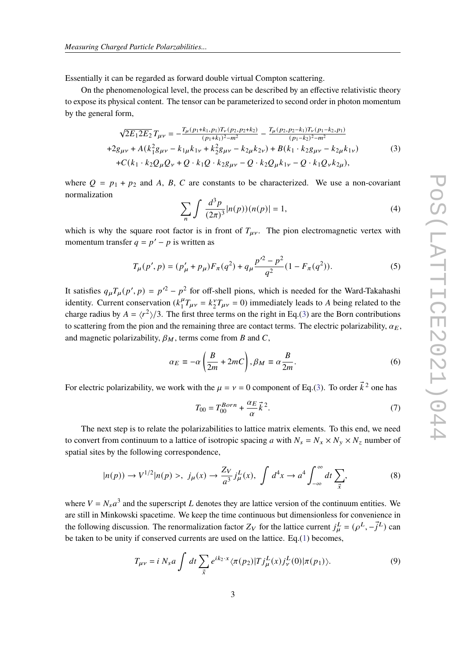Essentially it can be regarded as forward double virtual Compton scattering.

On the phenomenological level, the process can be described by an effective relativistic theory to expose its physical content. The tensor can be parameterized to second order in photon momentum by the general form,

<span id="page-2-0"></span>
$$
\sqrt{2E_1 2E_2} T_{\mu\nu} = -\frac{T_\mu (p_1 + k_1, p_1) T_\nu (p_2, p_2 + k_2)}{(p_1 + k_1)^2 - m^2} - \frac{T_\mu (p_2, p_2 - k_1) T_\nu (p_1 - k_2, p_1)}{(p_1 - k_2)^2 - m^2}
$$
  
+2g<sub>\mu\nu</sub> + A(k<sup>2</sup><sub>1</sub> g<sub>\mu\nu</sub> - k<sub>1</sub> \mu k<sub>1\nu</sub> + k<sup>2</sup><sub>2</sub> g<sub>\mu\nu</sub> - k<sub>2</sub> \mu k<sub>2\nu</sub>) + B(k<sub>1</sub> \cdot k<sub>2</sub> g<sub>\mu\nu</sub> - k<sub>2</sub> \mu k<sub>1\nu</sub>)  
+C(k<sub>1</sub> \cdot k<sub>2</sub>Q<sub>\mu</sub>Q<sub>\nu</sub> + Q \cdot k<sub>1</sub>Q \cdot k<sub>2</sub>g<sub>\mu\nu</sub> - Q \cdot k<sub>2</sub>Q<sub>\mu</sub> k<sub>1\nu</sub> - Q \cdot k<sub>1</sub>Q<sub>\nu</sub> k<sub>2\mu</sub>), (3)

where  $Q = p_1 + p_2$  and A, B, C are constants to be characterized. We use a non-covariant normalization

$$
\sum_{n} \int \frac{d^3 p}{(2\pi)^3} |n(p)) (n(p)| = 1,
$$
\n(4)

which is why the square root factor is in front of  $T_{\mu\nu}$ . The pion electromagnetic vertex with momentum transfer  $q = p' - p$  is written as

$$
T_{\mu}(p',p) = (p'_{\mu} + p_{\mu})F_{\pi}(q^2) + q_{\mu}\frac{p'^2 - p^2}{q^2}(1 - F_{\pi}(q^2)).
$$
\n(5)

It satisfies  $q_{\mu}T_{\mu}(p',p) = p'^2 - p^2$  for off-shell pions, which is needed for the Ward-Takahashi identity. Current conservation  $(k_1^{\mu})$  ${}^{\mu}_{1}T_{\mu\nu} = k_{2}^{\nu}T_{\mu\nu} = 0$ ) immediately leads to A being related to the charge radius by  $A = \langle r^2 \rangle / 3$ . The first three terms on the right in Eq.[\(3\)](#page-2-0) are the Born contributions to scattering from the pion and the remaining three are contact terms. The electric polarizability,  $\alpha_E$ , and magnetic polarizability,  $\beta_M$ , terms come from B and C,

<span id="page-2-2"></span>
$$
\alpha_E \equiv -\alpha \left(\frac{B}{2m} + 2mC\right), \beta_M \equiv \alpha \frac{B}{2m}.
$$
 (6)

For electric polarizability, we work with the  $\mu = \nu = 0$  component of Eq.[\(3\)](#page-2-0). To order  $\vec{k}^2$  one has

$$
T_{00} = T_{00}^{Born} + \frac{\alpha_E}{\alpha} \vec{k}^2. \tag{7}
$$

The next step is to relate the polarizabilities to lattice matrix elements. To this end, we need to convert from continuum to a lattice of isotropic spacing a with  $N_s = N_x \times N_y \times N_z$  number of spatial sites by the following correspondence,

$$
|n(p)) \to V^{1/2}|n(p)>, j_{\mu}(x) \to \frac{Z_V}{a^3} j_{\mu}^L(x), \int d^4x \to a^4 \int_{-\infty}^{\infty} dt \sum_{\vec{x}}, \tag{8}
$$

where  $V = N_s a^3$  and the superscript L denotes they are lattice version of the continuum entities. We are still in Minkowski spacetime. We keep the time continuous but dimensionless for convenience in the following discussion. The renormalization factor  $Z_V$  for the lattice current  $j^L_\mu = (\rho^L, -\vec{j}^L)$  can be taken to be unity if conserved currents are used on the lattice.  $Eq.(1)$  $Eq.(1)$  becomes,

<span id="page-2-1"></span>
$$
T_{\mu\nu} = i N_s a \int dt \sum_{\vec{x}} e^{ik_2 \cdot x} \langle \pi(p_2) | T j^L_{\mu}(x) j^L_{\nu}(0) | \pi(p_1) \rangle.
$$
 (9)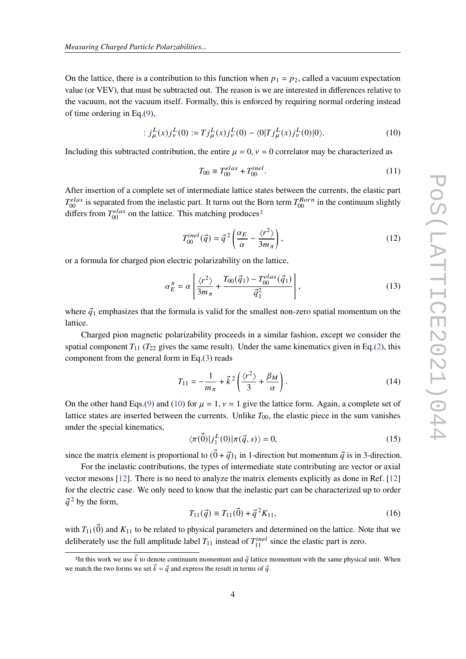On the lattice, there is a contribution to this function when  $p_1 = p_2$ , called a vacuum expectation value (or VEV), that must be subtracted out. The reason is we are interested in differences relative to the vacuum, not the vacuum itself. Formally, this is enforced by requiring normal ordering instead of time ordering in Eq.[\(9\)](#page-2-1),

<span id="page-3-1"></span>
$$
: j_{\mu}^{L}(x)j_{\nu}^{L}(0) := Tj_{\mu}^{L}(x)j_{\nu}^{L}(0) - \langle 0|Tj_{\mu}^{L}(x)j_{\nu}^{L}(0)|0\rangle. \tag{10}
$$

Including this subtracted contribution, the entire  $\mu = 0$ ,  $\nu = 0$  correlator may be characterized as

$$
T_{00} \equiv T_{00}^{elas} + T_{00}^{inel}.
$$
\n(11)

After insertion of a complete set of intermediate lattice states between the currents, the elastic part  $T_{00}^{elas}$  is separated from the inelastic part. It turns out the Born term  $T_{00}^{Born}$  in the continuum slightly differs from  $T_{00}^{elas}$  on the lattice. This matching produces<sup>[2](#page-3-0)</sup>

$$
T_{00}^{inel}(\vec{q}) = \vec{q}^2 \left( \frac{\alpha_E}{\alpha} - \frac{\langle r^2 \rangle}{3m_\pi} \right),\tag{12}
$$

or a formula for charged pion electric polarizability on the lattice,

<span id="page-3-4"></span>
$$
\alpha_E^{\pi} = \alpha \left[ \frac{\langle r^2 \rangle}{3m_{\pi}} + \frac{T_{00}(\vec{q}_1) - T_{00}^{elas}(\vec{q}_1)}{\vec{q}_1^2} \right],
$$
\n(13)

where  $\vec{q}_1$  emphasizes that the formula is valid for the smallest non-zero spatial momentum on the lattice.

Charged pion magnetic polarizability proceeds in a similar fashion, except we consider the spatial component  $T_{11}$  ( $T_{22}$  gives the same result). Under the same kinematics given in Eq.[\(2\)](#page-1-3), this component from the general form in Eq.[\(3\)](#page-2-0) reads

<span id="page-3-2"></span>
$$
T_{11} = -\frac{1}{m_{\pi}} + \vec{k}^2 \left( \frac{\langle r^2 \rangle}{3} + \frac{\beta_M}{\alpha} \right). \tag{14}
$$

On the other hand Eqs.[\(9\)](#page-2-1) and [\(10\)](#page-3-1) for  $\mu = 1$ ,  $\nu = 1$  give the lattice form. Again, a complete set of lattice states are inserted between the currents. Unlike  $T_{00}$ , the elastic piece in the sum vanishes under the special kinematics,

$$
\langle \pi(\vec{0})|j_1^L(0)|\pi(\vec{q},s)\rangle = 0,\tag{15}
$$

since the matrix element is proportional to  $(\vec{0} + \vec{q})_1$  in 1-direction but momentum  $\vec{q}$  is in 3-direction.

For the inelastic contributions, the types of intermediate state contributing are vector or axial vector mesons [\[12\]](#page-8-4). There is no need to analyze the matrix elements explicitly as done in Ref. [\[12\]](#page-8-4) for the electric case. We only need to know that the inelastic part can be characterized up to order  $\vec{q}^2$  by the form,

<span id="page-3-3"></span>
$$
T_{11}(\vec{q}) \equiv T_{11}(\vec{0}) + \vec{q}^2 K_{11},\tag{16}
$$

with  $T_{11}(\vec{0})$  and  $K_{11}$  to be related to physical parameters and determined on the lattice. Note that we deliberately use the full amplitude label  $T_{11}$  instead of  $T_{11}^{inel}$  since the elastic part is zero.

<span id="page-3-0"></span><sup>&</sup>lt;sup>2</sup>In this work we use  $\vec{k}$  to denote continuum momentum and  $\vec{q}$  lattice momentum with the same physical unit. When we match the two forms we set  $\vec{k} = \vec{q}$  and express the result in terms of  $\vec{q}$ .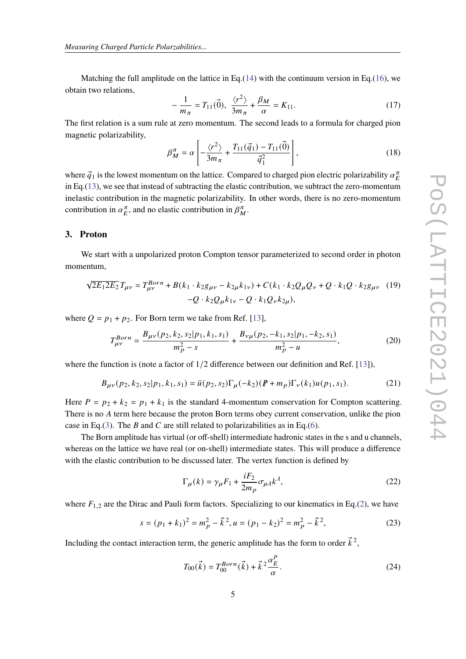Matching the full amplitude on the lattice in Eq.[\(14\)](#page-3-2) with the continuum version in Eq.[\(16\)](#page-3-3), we obtain two relations,

$$
-\frac{1}{m_{\pi}} = T_{11}(\vec{0}), \ \frac{\langle r^2 \rangle}{3m_{\pi}} + \frac{\beta_M}{\alpha} = K_{11}.
$$
 (17)

The first relation is a sum rule at zero momentum. The second leads to a formula for charged pion magnetic polarizability,

<span id="page-4-1"></span>
$$
\beta_M^{\pi} = \alpha \left[ -\frac{\langle r^2 \rangle}{3m_{\pi}} + \frac{T_{11}(\vec{q}_1) - T_{11}(\vec{0})}{\vec{q}_1^2} \right],
$$
\n(18)

where  $\vec{q}_1$  is the lowest momentum on the lattice. Compared to charged pion electric polarizability  $\alpha_E^{\pi}$ in Eq.[\(13\)](#page-3-4), we see that instead of subtracting the elastic contribution, we subtract the zero-momentum inelastic contribution in the magnetic polarizability. In other words, there is no zero-momentum contribution in  $\alpha_E^{\pi}$ , and no elastic contribution in  $\beta_M^{\pi}$ .

#### **3. Proton**

We start with a unpolarized proton Compton tensor parameterized to second order in photon momentum,

<span id="page-4-0"></span>
$$
\sqrt{2E_1 2E_2} T_{\mu\nu} = T_{\mu\nu}^{Born} + B(k_1 \cdot k_2 g_{\mu\nu} - k_{2\mu} k_{1\nu}) + C(k_1 \cdot k_2 Q_\mu Q_\nu + Q \cdot k_1 Q \cdot k_2 g_{\mu\nu} \quad (19)
$$

$$
-Q \cdot k_2 Q_\mu k_{1\nu} - Q \cdot k_1 Q_\nu k_{2\mu}),
$$

where  $Q = p_1 + p_2$ . For Born term we take from Ref. [\[13\]](#page-8-5),

$$
T_{\mu\nu}^{Born} = \frac{B_{\mu\nu}(p_2, k_2, s_2 | p_1, k_1, s_1)}{m_p^2 - s} + \frac{B_{\nu\mu}(p_2, -k_1, s_2 | p_1, -k_2, s_1)}{m_p^2 - u},
$$
(20)

where the function is (note a factor of  $1/2$  difference between our definition and Ref. [\[13\]](#page-8-5)),

$$
B_{\mu\nu}(p_2, k_2, s_2 | p_1, k_1, s_1) = \bar{u}(p_2, s_2) \Gamma_{\mu}(-k_2) (\rlap{/}P + m_p) \Gamma_{\nu}(k_1) u(p_1, s_1). \tag{21}
$$

Here  $P = p_2 + k_2 = p_1 + k_1$  is the standard 4-momentum conservation for Compton scattering. There is no A term here because the proton Born terms obey current conservation, unlike the pion case in Eq.[\(3\)](#page-2-0). The B and C are still related to polarizabilities as in Eq.[\(6\)](#page-2-2).

The Born amplitude has virtual (or off-shell) intermediate hadronic states in the s and u channels, whereas on the lattice we have real (or on-shell) intermediate states. This will produce a difference with the elastic contribution to be discussed later. The vertex function is defined by

$$
\Gamma_{\mu}(k) = \gamma_{\mu} F_1 + \frac{iF_2}{2m_p} \sigma_{\mu\lambda} k^{\lambda},\tag{22}
$$

where  $F_{1,2}$  are the Dirac and Pauli form factors. Specializing to our kinematics in Eq.[\(2\)](#page-1-3), we have

$$
s = (p_1 + k_1)^2 = m_p^2 - \vec{k}^2, u = (p_1 - k_2)^2 = m_p^2 - \vec{k}^2,
$$
 (23)

Including the contact interaction term, the generic amplitude has the form to order  $\vec{k}^2$ .

$$
T_{00}(\vec{k}) = T_{00}^{Born}(\vec{k}) + \vec{k}^2 \frac{\alpha_E^p}{\alpha}.
$$
 (24)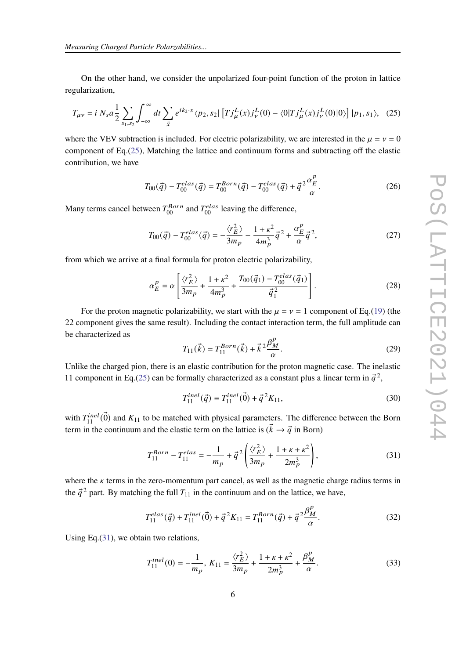On the other hand, we consider the unpolarized four-point function of the proton in lattice regularization,

$$
T_{\mu\nu} = i \ N_s a \frac{1}{2} \sum_{s_1, s_2} \int_{-\infty}^{\infty} dt \sum_{\vec{x}} e^{ik_2 \cdot x} \langle p_2, s_2 | [T j^L_{\mu}(x) j^L_{\nu}(0) - \langle 0 | T j^L_{\mu}(x) j^L_{\nu}(0) | 0 \rangle ] |p_1, s_1\rangle, \tag{25}
$$

where the VEV subtraction is included. For electric polarizability, we are interested in the  $\mu = v = 0$ component of Eq.[\(25\)](#page-5-0), Matching the lattice and continuum forms and subtracting off the elastic contribution, we have

<span id="page-5-0"></span>
$$
T_{00}(\vec{q}) - T_{00}^{elas}(\vec{q}) = T_{00}^{Born}(\vec{q}) - T_{00}^{elas}(\vec{q}) + \vec{q}^2 \frac{\alpha_E^p}{\alpha}.
$$
 (26)

Many terms cancel between  $T_{00}^{Born}$  and  $T_{00}^{elas}$  leaving the difference,

$$
T_{00}(\vec{q}) - T_{00}^{elas}(\vec{q}) = -\frac{\langle r_E^2 \rangle}{3m_p} - \frac{1 + \kappa^2}{4m_p^3} \vec{q}^2 + \frac{\alpha_E^p}{\alpha} \vec{q}^2, \tag{27}
$$

from which we arrive at a final formula for proton electric polarizability,

<span id="page-5-3"></span>
$$
\alpha_E^P = \alpha \left[ \frac{\langle r_E^2 \rangle}{3m_p} + \frac{1 + \kappa^2}{4m_p^3} + \frac{T_{00}(\vec{q}_1) - T_{00}^{elas}(\vec{q}_1)}{\vec{q}_1^2} \right].
$$
 (28)

For the proton magnetic polarizability, we start with the  $\mu = \nu = 1$  component of Eq.[\(19\)](#page-4-0) (the 22 component gives the same result). Including the contact interaction term, the full amplitude can be characterized as  $\overline{D}$ 

$$
T_{11}(\vec{k}) = T_{11}^{Born}(\vec{k}) + \vec{k}^2 \frac{\beta_M^p}{\alpha}.
$$
 (29)

Unlike the charged pion, there is an elastic contribution for the proton magnetic case. The inelastic 11 component in Eq.[\(25\)](#page-5-0) can be formally characterized as a constant plus a linear term in  $\vec{q}^2$ ,

<span id="page-5-2"></span>
$$
T_{11}^{inel}(\vec{q}) \equiv T_{11}^{inel}(\vec{0}) + \vec{q}^2 K_{11},\tag{30}
$$

with  $T_{11}^{inel}(\vec{0})$  and  $K_{11}$  to be matched with physical parameters. The difference between the Born term in the continuum and the elastic term on the lattice is  $(\vec{k} \rightarrow \vec{q} \text{ in Born})$ 

<span id="page-5-1"></span>
$$
T_{11}^{Born} - T_{11}^{elas} = -\frac{1}{m_p} + \vec{q}^2 \left( \frac{\langle r_E^2 \rangle}{3m_p} + \frac{1 + \kappa + \kappa^2}{2m_p^3} \right),\tag{31}
$$

where the  $\kappa$  terms in the zero-momentum part cancel, as well as the magnetic charge radius terms in the  $\vec{q}^2$  part. By matching the full  $T_{11}$  in the continuum and on the lattice, we have,

$$
T_{11}^{elas}(\vec{q}) + T_{11}^{inel}(\vec{0}) + \vec{q}^2 K_{11} = T_{11}^{Born}(\vec{q}) + \vec{q}^2 \frac{\beta_M^p}{\alpha}.
$$
 (32)

Using Eq.[\(31\)](#page-5-1), we obtain two relations,

$$
T_{11}^{inel}(0) = -\frac{1}{m_p}, K_{11} = \frac{\langle r_E^2 \rangle}{3m_p} + \frac{1 + \kappa + \kappa^2}{2m_p^3} + \frac{\beta_M^p}{\alpha}.
$$
 (33)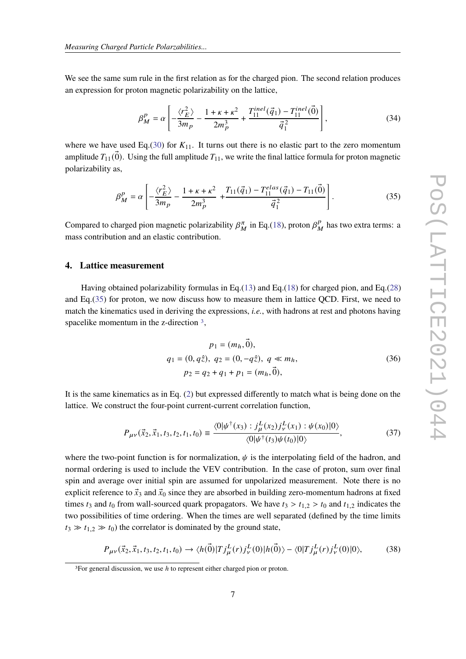We see the same sum rule in the first relation as for the charged pion. The second relation produces an expression for proton magnetic polarizability on the lattice,

$$
\beta_M^P = \alpha \left[ -\frac{\langle r_E^2 \rangle}{3m_P} - \frac{1 + \kappa + \kappa^2}{2m_P^3} + \frac{T_{11}^{inel}(\vec{q}_1) - T_{11}^{inel}(\vec{0})}{\vec{q}_1^2} \right],\tag{34}
$$

where we have used Eq.[\(30\)](#page-5-2) for  $K_{11}$ . It turns out there is no elastic part to the zero momentum amplitude  $T_{11}(\vec{0})$ . Using the full amplitude  $T_{11}$ , we write the final lattice formula for proton magnetic polarizability as,

<span id="page-6-0"></span>
$$
\beta_M^P = \alpha \left[ -\frac{\langle r_E^2 \rangle}{3m_P} - \frac{1 + \kappa + \kappa^2}{2m_P^3} + \frac{T_{11}(\vec{q}_1) - T_{11}^{elas}(\vec{q}_1) - T_{11}(\vec{0})}{\vec{q}_1^2} \right].
$$
\n(35)

Compared to charged pion magnetic polarizability  $\beta_M^{\pi}$  in Eq.[\(18\)](#page-4-1), proton  $\beta_N^P$  $\frac{p}{M}$  has two extra terms: a mass contribution and an elastic contribution.

#### **4. Lattice measurement**

Having obtained polarizability formulas in Eq.[\(13\)](#page-3-4) and Eq.[\(18\)](#page-4-1) for charged pion, and Eq.[\(28\)](#page-5-3) and Eq.[\(35\)](#page-6-0) for proton, we now discuss how to measure them in lattice QCD. First, we need to match the kinematics used in deriving the expressions, *i.e.*, with hadrons at rest and photons having spacelike momentum in the z-direction <sup>[3](#page-6-1)</sup>,

$$
p_1 = (m_h, \vec{0}),
$$
  
\n
$$
q_1 = (0, q\hat{z}), q_2 = (0, -q\hat{z}), q \ll m_h,
$$
  
\n
$$
p_2 = q_2 + q_1 + p_1 = (m_h, \vec{0}),
$$
\n(36)

It is the same kinematics as in Eq. [\(2\)](#page-1-3) but expressed differently to match what is being done on the lattice. We construct the four-point current-current correlation function,

$$
P_{\mu\nu}(\vec{x}_2, \vec{x}_1, t_3, t_2, t_1, t_0) \equiv \frac{\langle 0 | \psi^\dagger(x_3) : j^L_{\mu}(x_2) j^L_{\nu}(x_1) : \psi(x_0) | 0 \rangle}{\langle 0 | \psi^\dagger(t_3) \psi(t_0) | 0 \rangle}, \tag{37}
$$

where the two-point function is for normalization,  $\psi$  is the interpolating field of the hadron, and normal ordering is used to include the VEV contribution. In the case of proton, sum over final spin and average over initial spin are assumed for unpolarized measurement. Note there is no explicit reference to  $\vec{x}_3$  and  $\vec{x}_0$  since they are absorbed in building zero-momentum hadrons at fixed times  $t_3$  and  $t_0$  from wall-sourced quark propagators. We have  $t_3 > t_{1,2} > t_0$  and  $t_{1,2}$  indicates the two possibilities of time ordering. When the times are well separated (defined by the time limits  $t_3 \gg t_{1,2} \gg t_0$ ) the correlator is dominated by the ground state,

$$
P_{\mu\nu}(\vec{x}_2, \vec{x}_1, t_3, t_2, t_1, t_0) \to \langle h(\vec{0}) | T j^L_{\mu}(r) j^L_{\nu}(0) | h(\vec{0}) \rangle - \langle 0 | T j^L_{\mu}(r) j^L_{\nu}(0) | 0 \rangle, \tag{38}
$$

<span id="page-6-1"></span><sup>&</sup>lt;sup>3</sup>For general discussion, we use  $h$  to represent either charged pion or proton.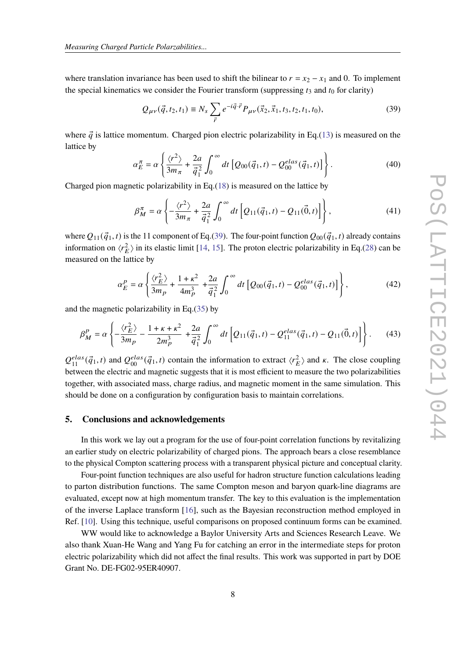where translation invariance has been used to shift the bilinear to  $r = x_2 - x_1$  and 0. To implement the special kinematics we consider the Fourier transform (suppressing  $t_3$  and  $t_0$  for clarity)

<span id="page-7-0"></span>
$$
Q_{\mu\nu}(\vec{q}, t_2, t_1) \equiv N_s \sum_{\vec{r}} e^{-i\vec{q}\cdot\vec{r}} P_{\mu\nu}(\vec{x}_2, \vec{x}_1, t_3, t_2, t_1, t_0), \tag{39}
$$

where  $\vec{q}$  is lattice momentum. Charged pion electric polarizability in Eq.[\(13\)](#page-3-4) is measured on the lattice by

$$
\alpha_E^{\pi} = \alpha \left\{ \frac{\langle r^2 \rangle}{3m_{\pi}} + \frac{2a}{\vec{q}_1^2} \int_0^{\infty} dt \left[ Q_{00}(\vec{q}_1, t) - Q_{00}^{elas}(\vec{q}_1, t) \right] \right\}.
$$
 (40)

Charged pion magnetic polarizability in Eq.[\(18\)](#page-4-1) is measured on the lattice by

$$
\beta_M^{\pi} = \alpha \left\{ -\frac{\langle r^2 \rangle}{3m_{\pi}} + \frac{2a}{\vec{q}_1^2} \int_0^{\infty} dt \left[ Q_{11}(\vec{q}_1, t) - Q_{11}(\vec{0}, t) \right] \right\},
$$
\n(41)

where  $Q_{11}(\vec{q}_1, t)$  is the 11 component of Eq.[\(39\)](#page-7-0). The four-point function  $Q_{00}(\vec{q}_1, t)$  already contains information on  $\langle r_E^2 \rangle$  in its elastic limit [\[14,](#page-8-6) [15\]](#page-8-7). The proton electric polarizability in Eq.[\(28\)](#page-5-3) can be measured on the lattice by

$$
\alpha_E^P = \alpha \left\{ \frac{\langle r_E^2 \rangle}{3m_P} + \frac{1+\kappa^2}{4m_P^3} + \frac{2a}{\vec{q}_1^2} \int_0^\infty dt \left[ Q_{00}(\vec{q}_1, t) - Q_{00}^{elas}(\vec{q}_1, t) \right] \right\},\tag{42}
$$

and the magnetic polarizability in Eq.[\(35\)](#page-6-0) by

$$
\beta_M^P = \alpha \left\{ -\frac{\langle r_E^2 \rangle}{3m_p} - \frac{1 + \kappa + \kappa^2}{2m_p^3} + \frac{2a}{\vec{q}_1^2} \int_0^\infty dt \left[ Q_{11}(\vec{q}_1, t) - Q_{11}^{elas}(\vec{q}_1, t) - Q_{11}(\vec{0}, t) \right] \right\}.
$$
 (43)

 $Q_{11}^{elas}(\vec{q}_1,t)$  and  $Q_{00}^{elas}(\vec{q}_1,t)$  contain the information to extract  $\langle r_E^2 \rangle$  and  $\kappa$ . The close coupling between the electric and magnetic suggests that it is most efficient to measure the two polarizabilities together, with associated mass, charge radius, and magnetic moment in the same simulation. This should be done on a configuration by configuration basis to maintain correlations.

#### **5. Conclusions and acknowledgements**

In this work we lay out a program for the use of four-point correlation functions by revitalizing an earlier study on electric polarizability of charged pions. The approach bears a close resemblance to the physical Compton scattering process with a transparent physical picture and conceptual clarity.

Four-point function techniques are also useful for hadron structure function calculations leading to parton distribution functions. The same Compton meson and baryon quark-line diagrams are evaluated, except now at high momentum transfer. The key to this evaluation is the implementation of the inverse Laplace transform [\[16\]](#page-8-8), such as the Bayesian reconstruction method employed in Ref. [\[10\]](#page-8-2). Using this technique, useful comparisons on proposed continuum forms can be examined.

WW would like to acknowledge a Baylor University Arts and Sciences Research Leave. We also thank Xuan-He Wang and Yang Fu for catching an error in the intermediate steps for proton electric polarizability which did not affect the final results. This work was supported in part by DOE Grant No. DE-FG02-95ER40907.